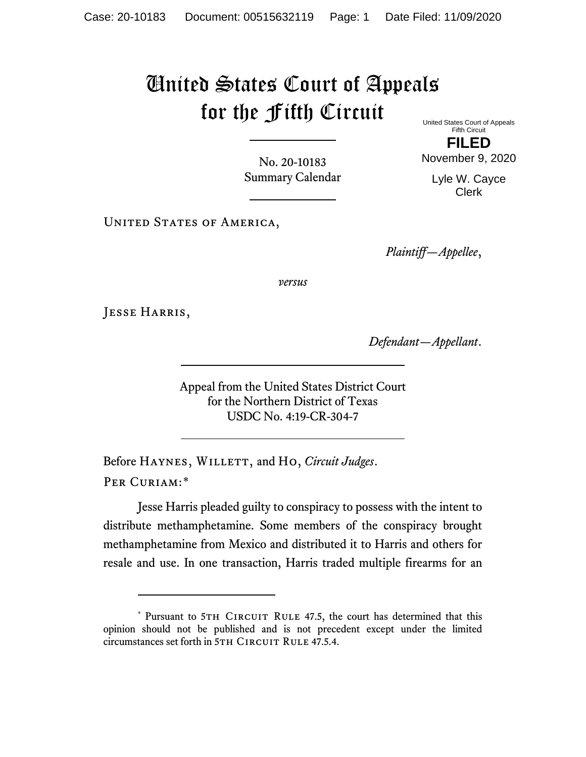## United States Court of Appeals for the Fifth Circuit United States Court of Appeals

No. 20-10183 Summary Calendar

UNITED STATES OF AMERICA,

Fifth Circuit **FILED**

November 9, 2020

Lyle W. Cayce Clerk

*Plaintiff—Appellee*,

*versus*

Jesse Harris,

*Defendant—Appellant*.

Appeal from the United States District Court for the Northern District of Texas USDC No. 4:19-CR-304-7

Before HAYNES, WILLETT, and Ho, *Circuit Judges*. Per Curiam:[\\*](#page-0-0)

Jesse Harris pleaded guilty to conspiracy to possess with the intent to distribute methamphetamine. Some members of the conspiracy brought methamphetamine from Mexico and distributed it to Harris and others for resale and use. In one transaction, Harris traded multiple firearms for an

<span id="page-0-0"></span><sup>\*</sup> Pursuant to 5TH CIRCUIT RULE 47.5, the court has determined that this opinion should not be published and is not precedent except under the limited circumstances set forth in 5TH CIRCUIT RULE 47.5.4.